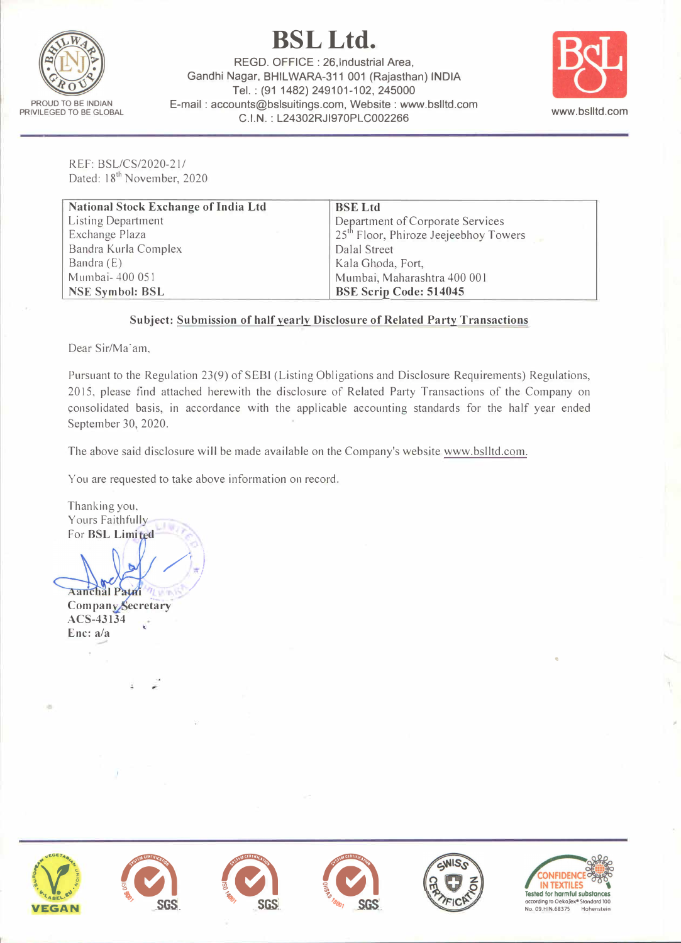

# **BSLLtd.**

REGO. OFFICE : 26,lndustrial Area, Gandhi Nagar, BHILWARA-311 001 (Rajasthan) **INDIA** Tel.: (91 1482) 249101-102, 245000 E-mail : accounts@bslsuitings.com, Website : www.bslltd.com **C.I.N.** : **L24302RJl970PLC002266**



..

REF: SSL/CS/2020-21/ Dated: 18<sup>th</sup> November, 2020

| <b>National Stock Exchange of India Ltd</b> | <b>BSE Ltd</b>                                    |  |
|---------------------------------------------|---------------------------------------------------|--|
| <b>Listing Department</b>                   | Department of Corporate Services                  |  |
| Exchange Plaza                              | 25 <sup>th</sup> Floor, Phiroze Jeejeebhoy Towers |  |
| Bandra Kurla Complex                        | Dalal Street                                      |  |
| Bandra $(E)$                                | Kala Ghoda, Fort,                                 |  |
| Mumbai-400 051                              | Mumbai, Maharashtra 400 001                       |  |
| <b>NSE Symbol: BSL</b>                      | <b>BSE Scrip Code: 514045</b>                     |  |

### **Subject: Submission of half yearly Disclosure of Related Party Transactions**

Dear Sir/Ma'am,

Pursuant to the Regulation 23(9) of SEBl (Listing Obligations and Disclosure Requirements) Regulations, 2015, please find attached herewith the disclosure of Related Party Transactions of the Company on consolidated basis, in accordance with the applicable accounting standards for the half year ended September 30, 2020.

The above said disclosure will be made available on the Company's website www.bslltd.com.

You are requested to take above information on record.

/

Thanking you, Yours Faithfully **For BSL Limited** 

*/)*  **Aanchal Patri** Company Secretary ACS-43134 Enc: a/a

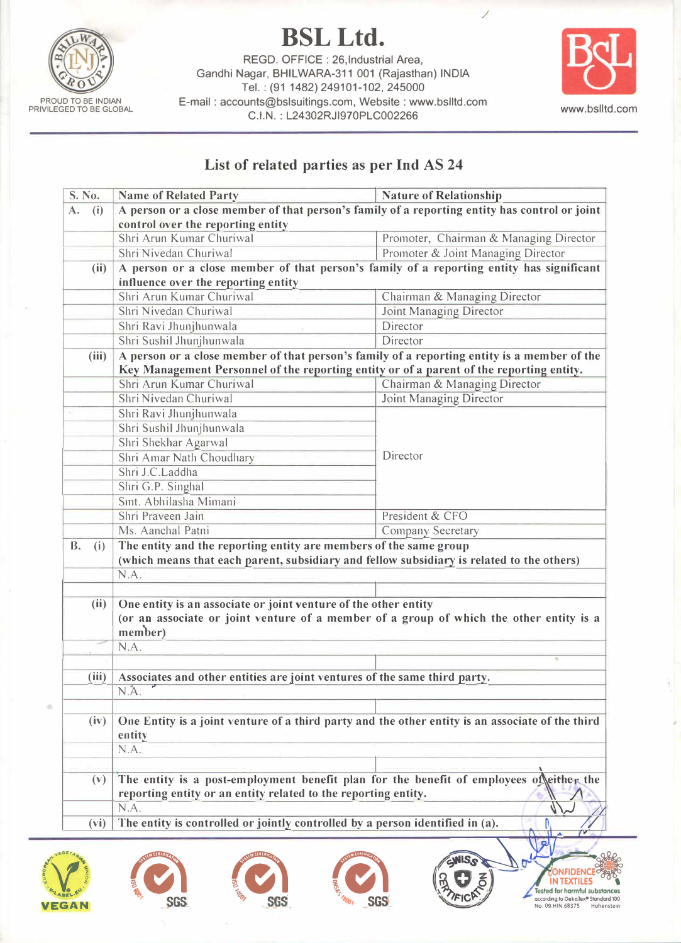

**BSLLtd.** 

REGO. OFFICE : 26,lndustrial Area, Gandhi Nagar, BHILWARA-311 001 (Rajasthan) INDIA Tel.: (91 1482) 249101-102, 245000 E-mail : accounts@bslsuitings.com, Website : www.bslltd.com of the www.bslittle.com www.bslittl.com www.bslittl.com www.bslittl.com c.l.N.: L24302RJI970PLC002266



/

## **List of related parties as per Ind AS 24**

| S. No.    |       | <b>Name of Related Party</b>                                                                                                                                   | <b>Nature of Relationship</b>                                                                                                                                                                                                                                                          |  |
|-----------|-------|----------------------------------------------------------------------------------------------------------------------------------------------------------------|----------------------------------------------------------------------------------------------------------------------------------------------------------------------------------------------------------------------------------------------------------------------------------------|--|
| A.<br>(i) |       | A person or a close member of that person's family of a reporting entity has control or joint                                                                  |                                                                                                                                                                                                                                                                                        |  |
|           |       | control over the reporting entity                                                                                                                              |                                                                                                                                                                                                                                                                                        |  |
|           |       | Shri Arun Kumar Churiwal                                                                                                                                       | Promoter, Chairman & Managing Director                                                                                                                                                                                                                                                 |  |
|           |       | Shri Nivedan Churiwal                                                                                                                                          | Promoter & Joint Managing Director                                                                                                                                                                                                                                                     |  |
| (ii)      |       | A person or a close member of that person's family of a reporting entity has significant                                                                       |                                                                                                                                                                                                                                                                                        |  |
|           |       | influence over the reporting entity                                                                                                                            |                                                                                                                                                                                                                                                                                        |  |
|           |       | Shri Arun Kumar Churiwal                                                                                                                                       | Chairman & Managing Director                                                                                                                                                                                                                                                           |  |
|           |       | Shri Nivedan Churiwal                                                                                                                                          | Joint Managing Director                                                                                                                                                                                                                                                                |  |
|           |       | Shri Ravi Jhunjhunwala                                                                                                                                         | Director                                                                                                                                                                                                                                                                               |  |
|           |       | Shri Sushil Jhunjhunwala                                                                                                                                       | Director                                                                                                                                                                                                                                                                               |  |
|           | (iii) | A person or a close member of that person's family of a reporting entity is a member of the                                                                    |                                                                                                                                                                                                                                                                                        |  |
|           |       | Key Management Personnel of the reporting entity or of a parent of the reporting entity.                                                                       |                                                                                                                                                                                                                                                                                        |  |
|           |       | Shri Arun Kumar Churiwal                                                                                                                                       | Chairman & Managing Director                                                                                                                                                                                                                                                           |  |
|           |       | Shri Nivedan Churiwal                                                                                                                                          | Joint Managing Director                                                                                                                                                                                                                                                                |  |
|           |       | Shri Ravi Jhunjhunwala                                                                                                                                         |                                                                                                                                                                                                                                                                                        |  |
|           |       | Shri Sushil Jhunjhunwala                                                                                                                                       |                                                                                                                                                                                                                                                                                        |  |
|           |       | Shri Shekhar Agarwal                                                                                                                                           |                                                                                                                                                                                                                                                                                        |  |
|           |       | Shri Amar Nath Choudhary                                                                                                                                       | Director                                                                                                                                                                                                                                                                               |  |
|           |       | Shri J.C.Laddha                                                                                                                                                |                                                                                                                                                                                                                                                                                        |  |
|           |       | Shri G.P. Singhal                                                                                                                                              |                                                                                                                                                                                                                                                                                        |  |
|           |       | Smt. Abhilasha Mimani                                                                                                                                          |                                                                                                                                                                                                                                                                                        |  |
|           |       | Shri Praveen Jain                                                                                                                                              | President & CFO                                                                                                                                                                                                                                                                        |  |
|           |       | Ms. Aanchal Patni                                                                                                                                              | Company Secretary                                                                                                                                                                                                                                                                      |  |
| B.        | (i)   |                                                                                                                                                                |                                                                                                                                                                                                                                                                                        |  |
|           |       | The entity and the reporting entity are members of the same group<br>(which means that each parent, subsidiary and fellow subsidiary is related to the others) |                                                                                                                                                                                                                                                                                        |  |
|           |       | N.A.                                                                                                                                                           |                                                                                                                                                                                                                                                                                        |  |
|           |       |                                                                                                                                                                |                                                                                                                                                                                                                                                                                        |  |
|           |       |                                                                                                                                                                |                                                                                                                                                                                                                                                                                        |  |
|           |       |                                                                                                                                                                |                                                                                                                                                                                                                                                                                        |  |
|           | (ii)  | One entity is an associate or joint venture of the other entity                                                                                                |                                                                                                                                                                                                                                                                                        |  |
|           |       |                                                                                                                                                                |                                                                                                                                                                                                                                                                                        |  |
|           |       | member)                                                                                                                                                        |                                                                                                                                                                                                                                                                                        |  |
|           |       | N.A.                                                                                                                                                           |                                                                                                                                                                                                                                                                                        |  |
|           |       |                                                                                                                                                                |                                                                                                                                                                                                                                                                                        |  |
|           | (iii) | Associates and other entities are joint ventures of the same third party.                                                                                      |                                                                                                                                                                                                                                                                                        |  |
|           |       | N.A.                                                                                                                                                           |                                                                                                                                                                                                                                                                                        |  |
|           |       |                                                                                                                                                                |                                                                                                                                                                                                                                                                                        |  |
|           | (iv)  |                                                                                                                                                                |                                                                                                                                                                                                                                                                                        |  |
|           |       | entity                                                                                                                                                         |                                                                                                                                                                                                                                                                                        |  |
|           |       | N.A.                                                                                                                                                           |                                                                                                                                                                                                                                                                                        |  |
|           |       |                                                                                                                                                                |                                                                                                                                                                                                                                                                                        |  |
|           | (v)   |                                                                                                                                                                |                                                                                                                                                                                                                                                                                        |  |
|           |       | reporting entity or an entity related to the reporting entity.                                                                                                 |                                                                                                                                                                                                                                                                                        |  |
|           | (vi)  | N.A.<br>The entity is controlled or jointly controlled by a person identified in (a).                                                                          | (or an associate or joint venture of a member of a group of which the other entity is a<br>One Entity is a joint venture of a third party and the other entity is an associate of the third<br>The entity is a post-employment benefit plan for the benefit of employees of either the |  |











**CONFIDENCE**<br> **IN TEXTILES IN TEXTILES**